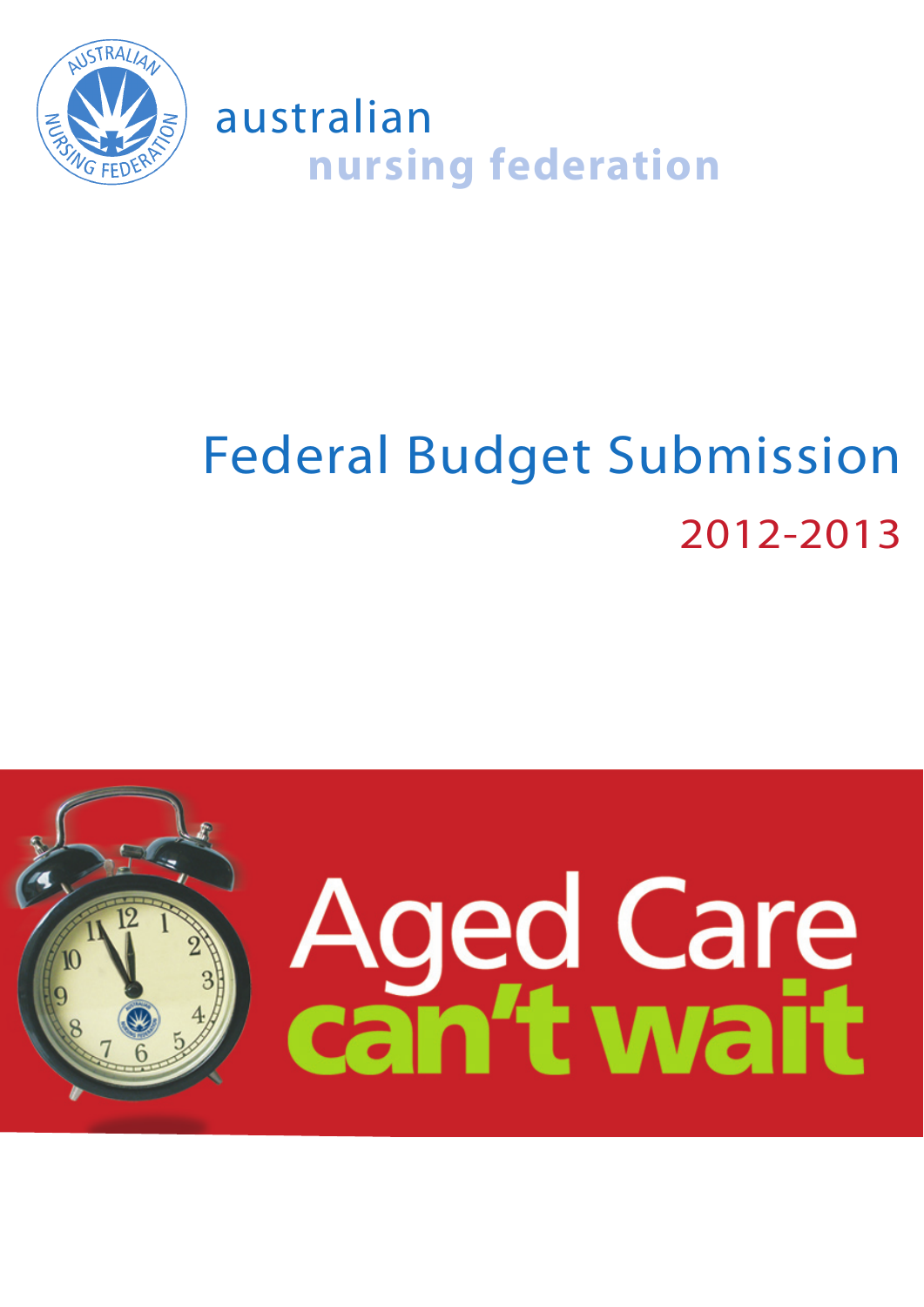

australian **nursing federation**

# Federal Budget Submission 2012-2013

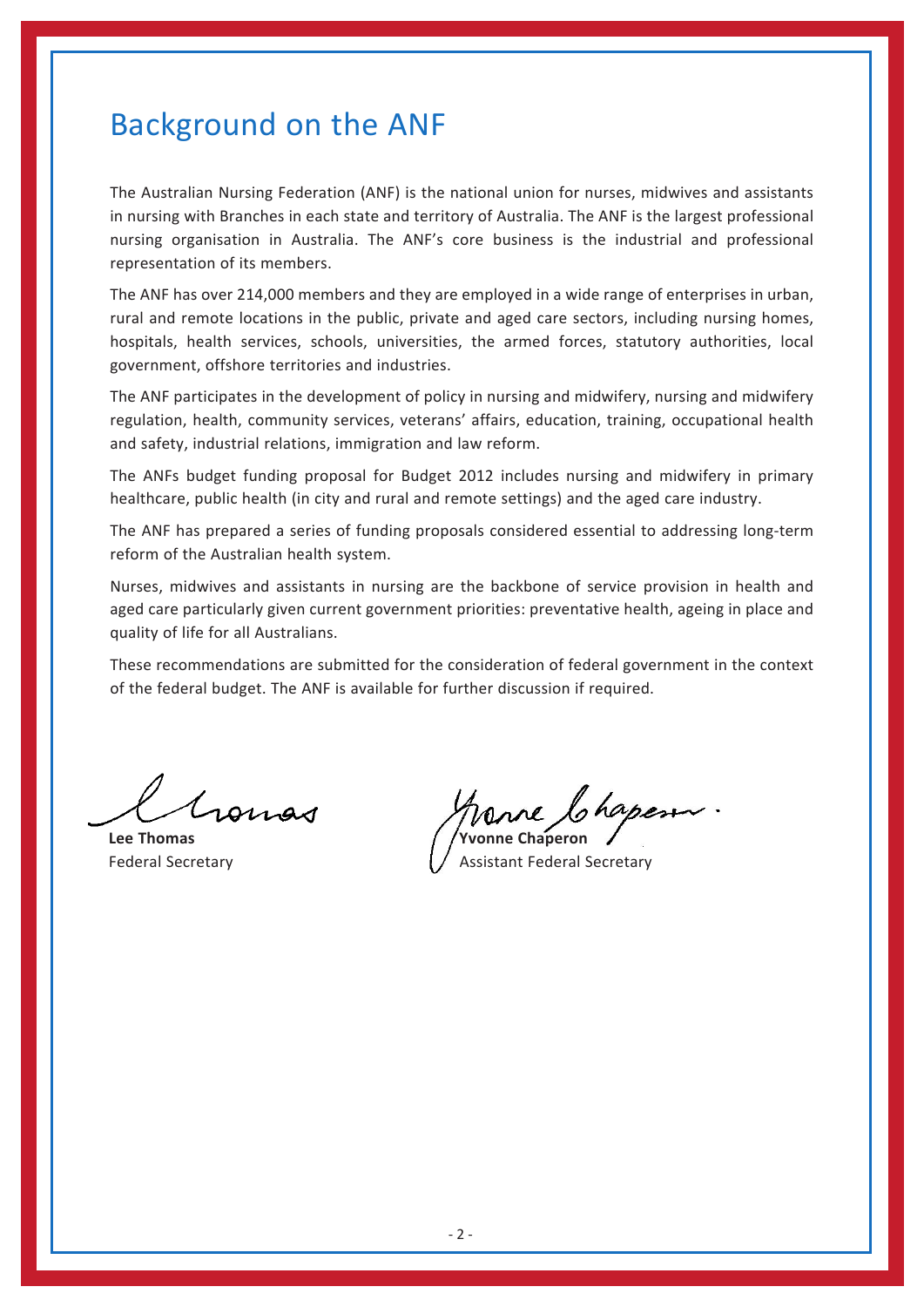## Background on the ANF

The Australian Nursing Federation (ANF) is the national union for nurses, midwives and assistants in nursing with Branches in each state and territory of Australia. The ANF is the largest professional nursing organisation in Australia. The ANF's core business is the industrial and professional representation of its members.

The ANF has over 214,000 members and they are employed in a wide range of enterprises in urban, rural and remote locations in the public, private and aged care sectors, including nursing homes, hospitals, health services, schools, universities, the armed forces, statutory authorities, local government, offshore territories and industries.

The ANF participates in the development of policy in nursing and midwifery, nursing and midwifery regulation, health, community services, veterans' affairs, education, training, occupational health and safety, industrial relations, immigration and law reform.

The ANFs budget funding proposal for Budget 2012 includes nursing and midwifery in primary healthcare, public health (in city and rural and remote settings) and the aged care industry.

The ANF has prepared a series of funding proposals considered essential to addressing long-term reform of the Australian health system.

Nurses, midwives and assistants in nursing are the backbone of service provision in health and aged care particularly given current government priorities: preventative health, ageing in place and quality of life for all Australians.

These recommendations are submitted for the consideration of federal government in the context of the federal budget. The ANF is available for further discussion if required.

Gomas

**Lee Thomas** 

Federal Secretary **Assistant Federal Secretary Assistant Federal Secretary**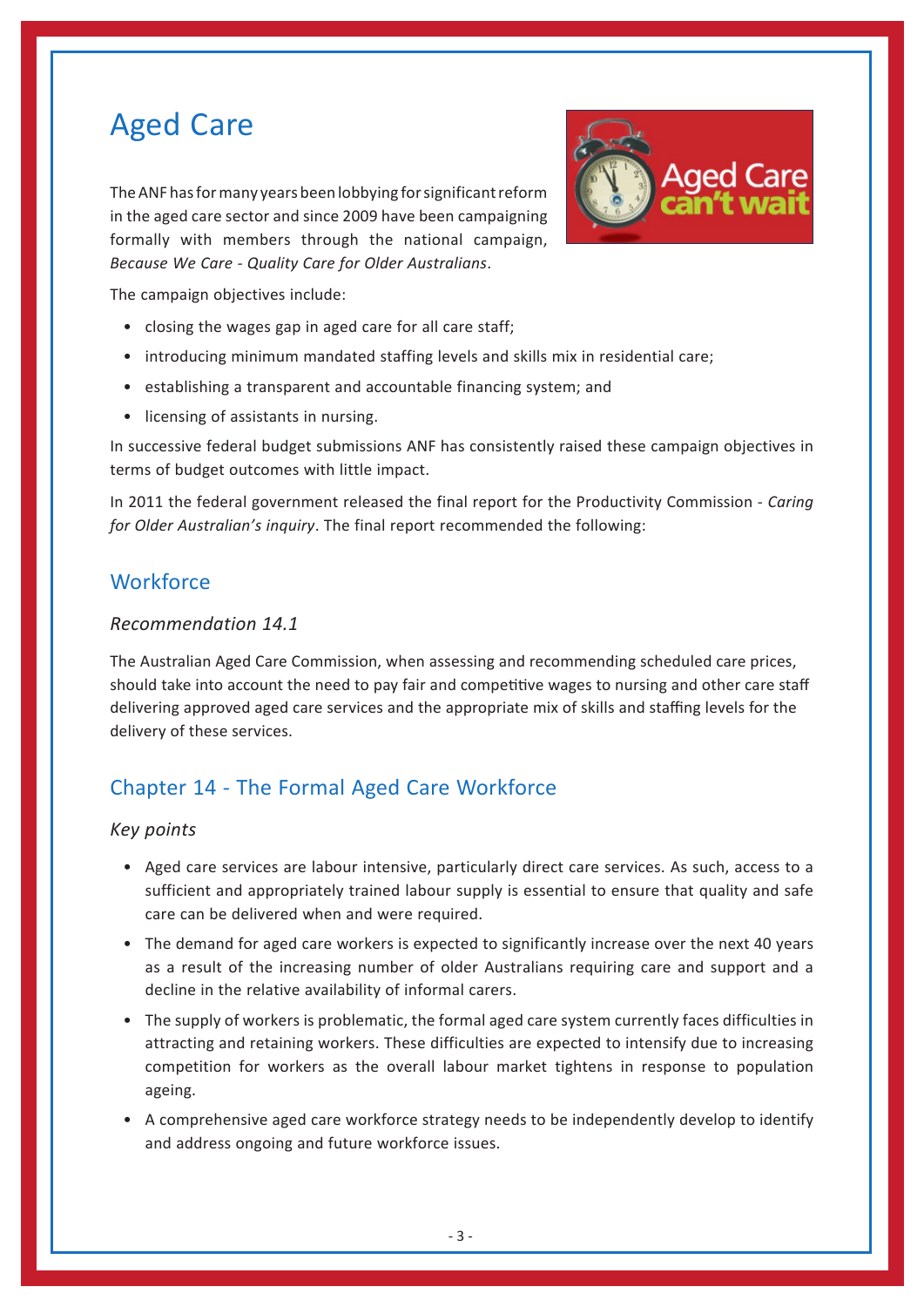# Aged Care

The ANF has for many years been lobbying for significant reform in the aged care sector and since 2009 have been campaigning formally with members through the national campaign, *Because We Care ‑ Quality Care for Older Australians*.



The campaign objectives include:

- • closing the wages gap in aged care for all care staff;
- introducing minimum mandated staffing levels and skills mix in residential care;
- establishing a transparent and accountable financing system; and
- • licensing of assistants in nursing.

In successive federal budget submissions ANF has consistently raised these campaign objectives in terms of budget outcomes with little impact.

In 2011 the federal government released the final report for the Productivity Commission - *Caring for Older Australian's inquiry*. The final report recommended the following:

#### **Workforce**

#### *Recommendation 14.1*

The Australian Aged Care Commission, when assessing and recommending scheduled care prices, should take into account the need to pay fair and competitive wages to nursing and other care staff delivering approved aged care services and the appropriate mix of skills and staffing levels for the delivery of these services.

### Chapter 14 - The Formal Aged Care Workforce

#### *Key points*

- • Aged care services are labour intensive, particularly direct care services. As such, access to a sufficient and appropriately trained labour supply is essential to ensure that quality and safe care can be delivered when and were required.
- The demand for aged care workers is expected to significantly increase over the next 40 years as a result of the increasing number of older Australians requiring care and support and a decline in the relative availability of informal carers.
- • The supply of workers is problematic, the formal aged care system currently faces difficulties in attracting and retaining workers. These difficulties are expected to intensify due to increasing competition for workers as the overall labour market tightens in response to population ageing.
- • A comprehensive aged care workforce strategy needs to be independently develop to identify and address ongoing and future workforce issues.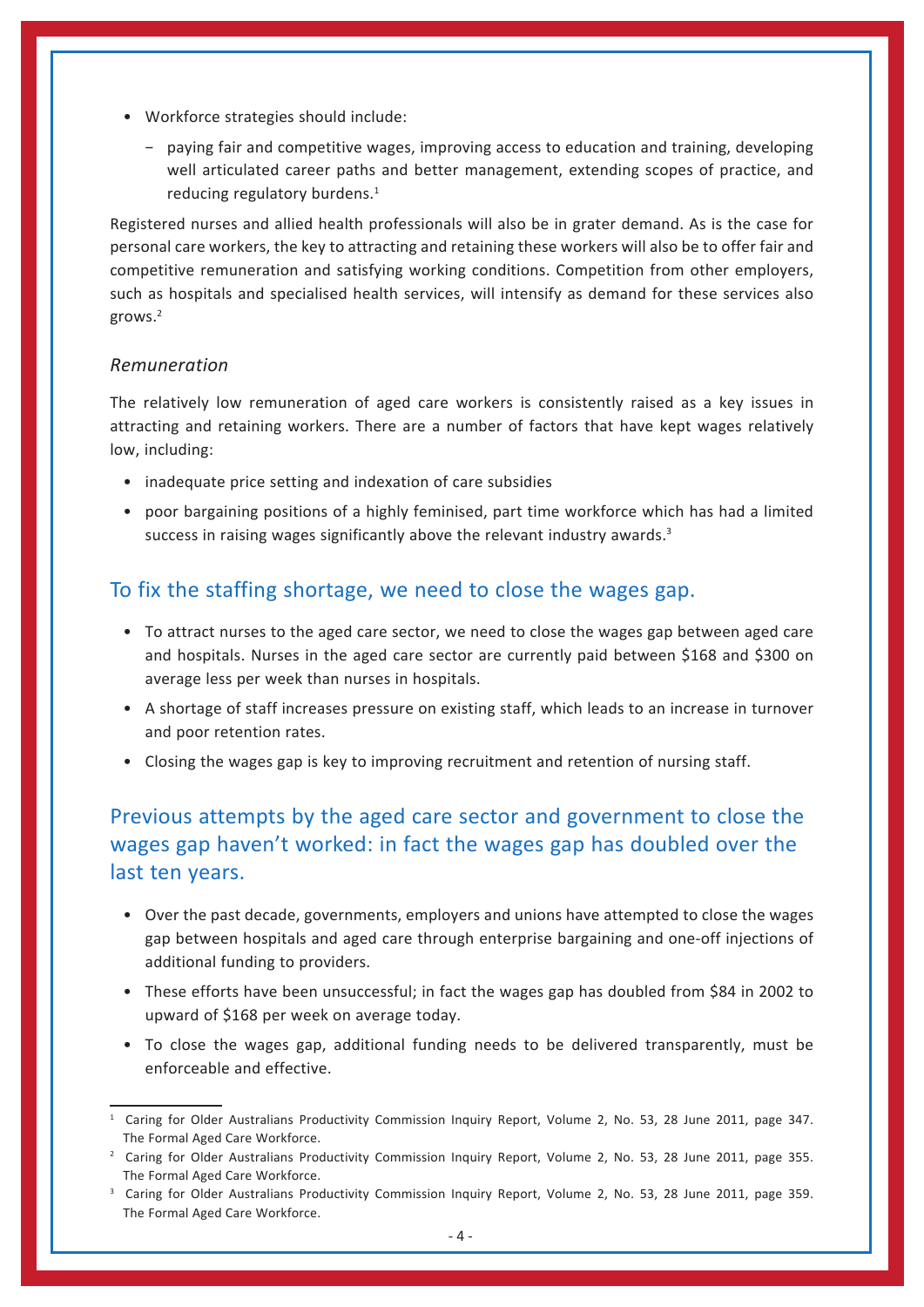- • Workforce strategies should include:
	- − paying fair and competitive wages, improving access to education and training, developing well articulated career paths and better management, extending scopes of practice, and reducing regulatory burdens.<sup>1</sup>

Registered nurses and allied health professionals will also be in grater demand. As is the case for personal care workers, the key to attracting and retaining these workers will also be to offer fair and competitive remuneration and satisfying working conditions. Competition from other employers, such as hospitals and specialised health services, will intensify as demand for these services also grows.2

#### *Remuneration*

The relatively low remuneration of aged care workers is consistently raised as a key issues in attracting and retaining workers. There are a number of factors that have kept wages relatively low, including:

- inadequate price setting and indexation of care subsidies
- • poor bargaining positions of a highly feminised, part time workforce which has had a limited success in raising wages significantly above the relevant industry awards.<sup>3</sup>

## To fix the staffing shortage, we need to close the wages gap.

- • To attract nurses to the aged care sector, we need to close the wages gap between aged care and hospitals. Nurses in the aged care sector are currently paid between \$168 and \$300 on average less per week than nurses in hospitals.
- • A shortage of staff increases pressure on existing staff, which leads to an increase in turnover and poor retention rates.
- • Closing the wages gap is key to improving recruitment and retention of nursing staff.

## Previous attempts by the aged care sector and government to close the wages gap haven't worked: in fact the wages gap has doubled over the last ten years.

- • Over the past decade, governments, employers and unions have attempted to close the wages gap between hospitals and aged care through enterprise bargaining and one-off injections of additional funding to providers.
- These efforts have been unsuccessful; in fact the wages gap has doubled from \$84 in 2002 to upward of \$168 per week on average today.
- • To close the wages gap, additional funding needs to be delivered transparently, must be enforceable and effective.

<sup>1</sup> Caring for Older Australians Productivity Commission Inquiry Report, Volume 2, No. 53, 28 June 2011, page 347. The Formal Aged Care Workforce.

<sup>&</sup>lt;sup>2</sup> Caring for Older Australians Productivity Commission Inquiry Report, Volume 2, No. 53, 28 June 2011, page 355. The Formal Aged Care Workforce.

<sup>3</sup> Caring for Older Australians Productivity Commission Inquiry Report, Volume 2, No. 53, 28 June 2011, page 359. The Formal Aged Care Workforce.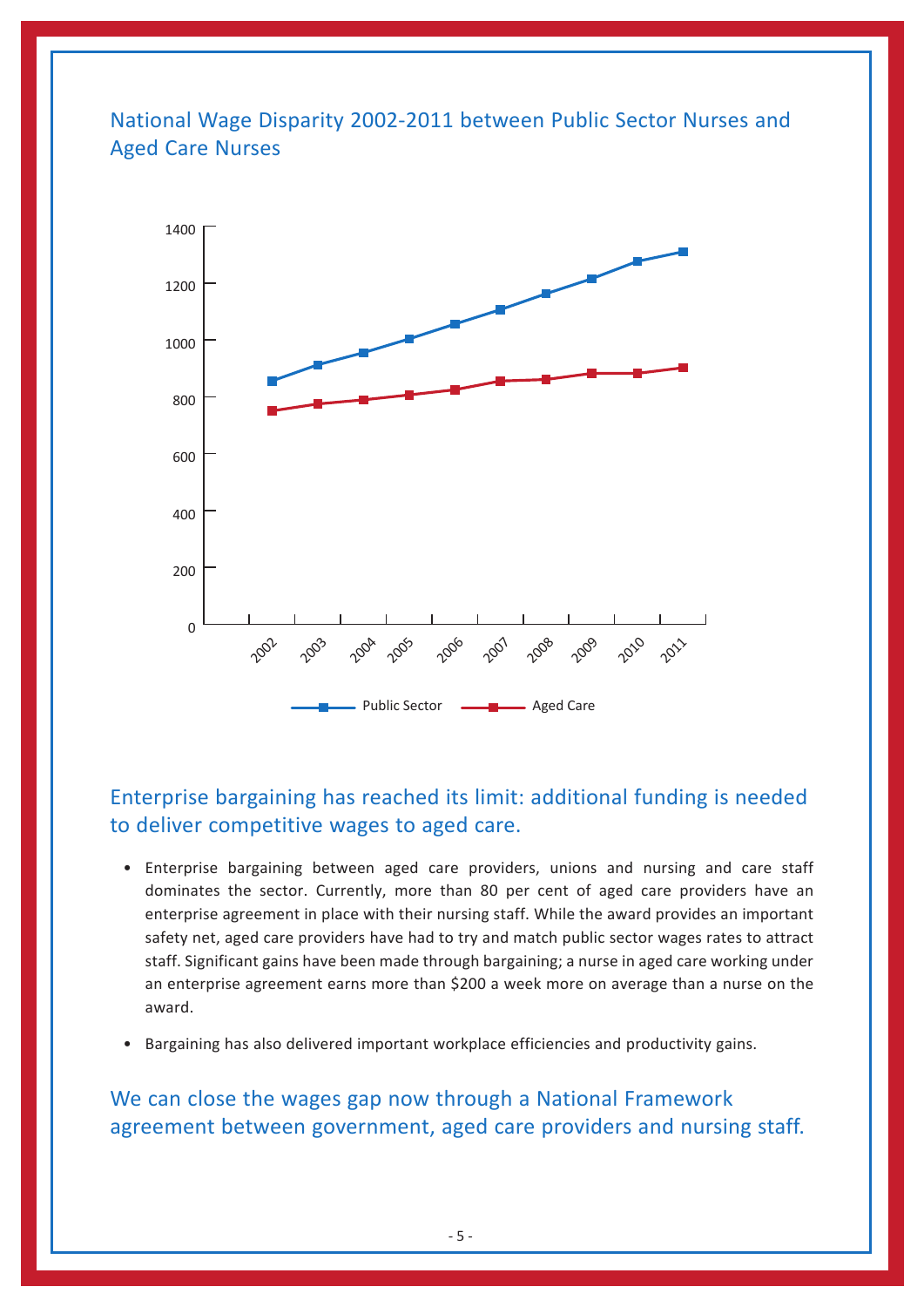## National Wage Disparity 2002-2011 between Public Sector Nurses and Aged Care Nurses



## Enterprise bargaining has reached its limit: additional funding is needed to deliver competitive wages to aged care.

- • Enterprise bargaining between aged care providers, unions and nursing and care staff dominates the sector. Currently, more than 80 per cent of aged care providers have an enterprise agreement in place with their nursing staff. While the award provides an important safety net, aged care providers have had to try and match public sector wages rates to attract staff. Significant gains have been made through bargaining; a nurse in aged care working under an enterprise agreement earns more than \$200 a week more on average than a nurse on the award.
- Bargaining has also delivered important workplace efficiencies and productivity gains.

## We can close the wages gap now through a National Framework agreement between government, aged care providers and nursing staff.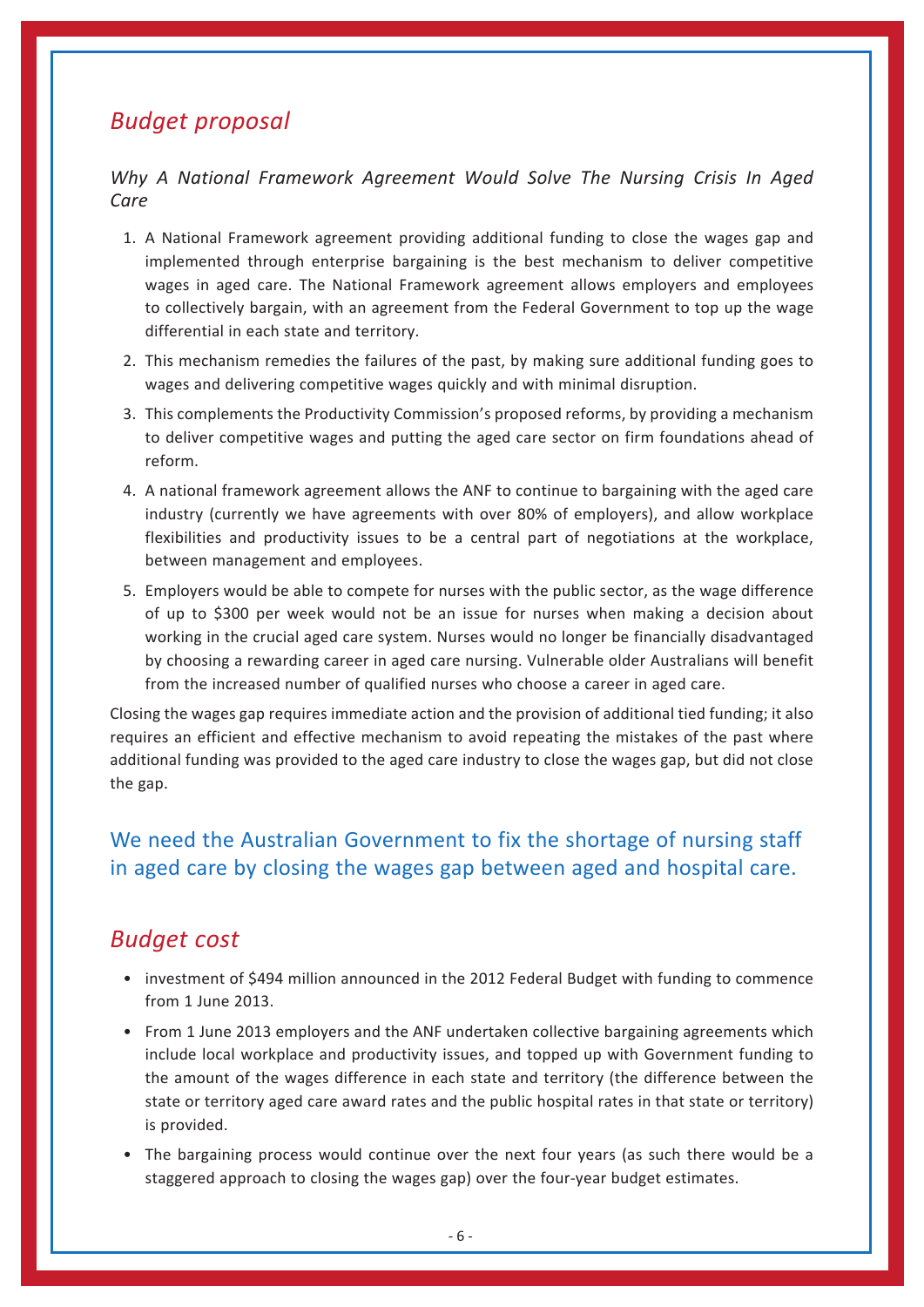## *Budget proposal*

#### *Why A National Framework Agreement Would Solve The Nursing Crisis In Aged Care*

- 1. A National Framework agreement providing additional funding to close the wages gap and implemented through enterprise bargaining is the best mechanism to deliver competitive wages in aged care. The National Framework agreement allows employers and employees to collectively bargain, with an agreement from the Federal Government to top up the wage differential in each state and territory.
- 2. This mechanism remedies the failures of the past, by making sure additional funding goes to wages and delivering competitive wages quickly and with minimal disruption.
- 3. This complements the Productivity Commission's proposed reforms, by providing a mechanism to deliver competitive wages and putting the aged care sector on firm foundations ahead of reform.
- 4. A national framework agreement allows the ANF to continue to bargaining with the aged care industry (currently we have agreements with over 80% of employers), and allow workplace flexibilities and productivity issues to be a central part of negotiations at the workplace, between management and employees.
- 5. Employers would be able to compete for nurses with the public sector, as the wage difference of up to \$300 per week would not be an issue for nurses when making a decision about working in the crucial aged care system. Nurses would no longer be financially disadvantaged by choosing a rewarding career in aged care nursing. Vulnerable older Australians will benefit from the increased number of qualified nurses who choose a career in aged care.

Closing the wages gap requires immediate action and the provision of additional tied funding; it also requires an efficient and effective mechanism to avoid repeating the mistakes of the past where additional funding was provided to the aged care industry to close the wages gap, but did not close the gap.

## We need the Australian Government to fix the shortage of nursing staff in aged care by closing the wages gap between aged and hospital care.

## *Budget cost*

- investment of \$494 million announced in the 2012 Federal Budget with funding to commence from 1 June 2013.
- From 1 June 2013 employers and the ANF undertaken collective bargaining agreements which include local workplace and productivity issues, and topped up with Government funding to the amount of the wages difference in each state and territory (the difference between the state or territory aged care award rates and the public hospital rates in that state or territory) is provided.
- The bargaining process would continue over the next four years (as such there would be a staggered approach to closing the wages gap) over the four-year budget estimates.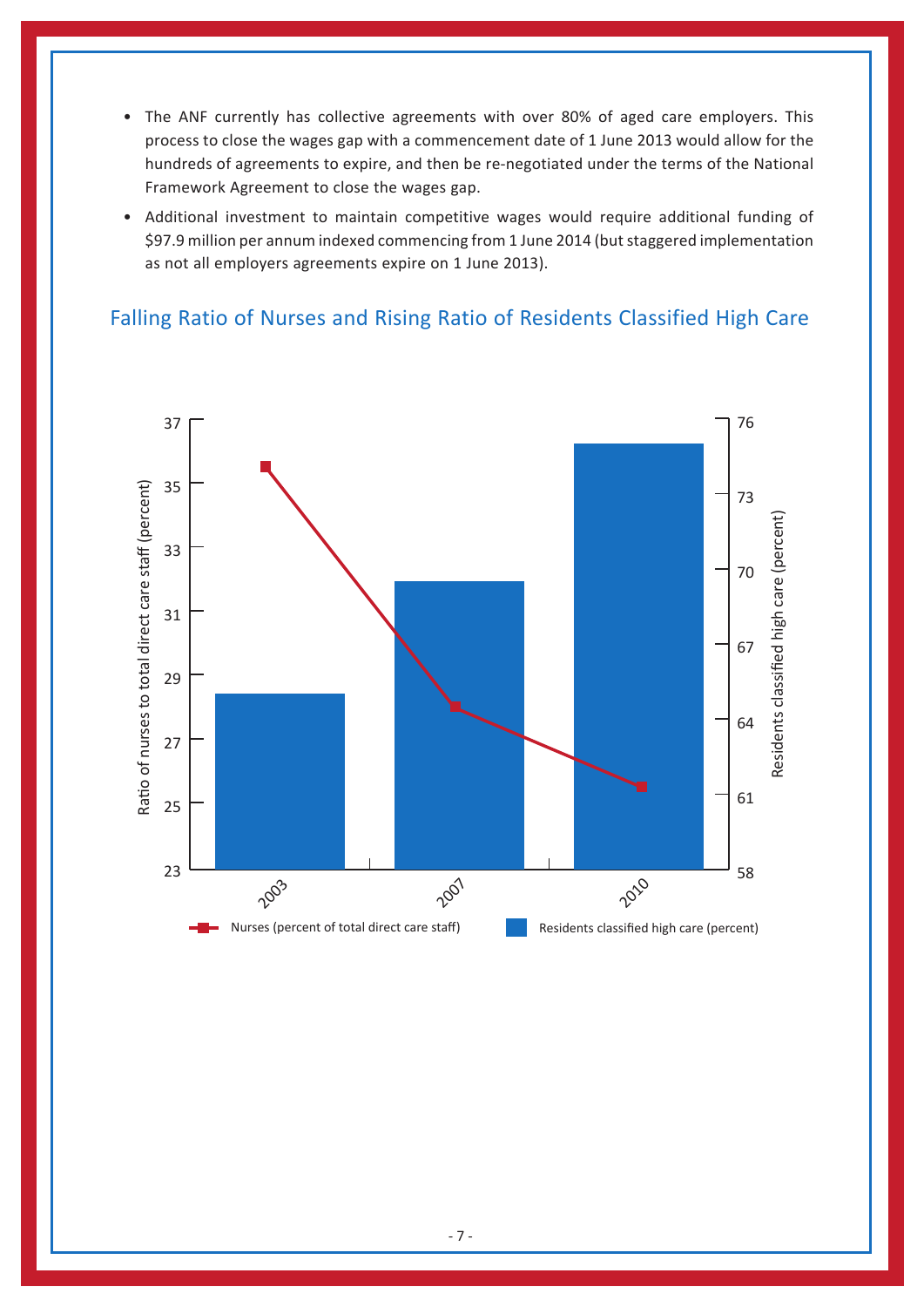- The ANF currently has collective agreements with over 80% of aged care employers. This process to close the wages gap with a commencement date of 1 June 2013 would allow for the hundreds of agreements to expire, and then be re-negotiated under the terms of the National Framework Agreement to close the wages gap.
- • Additional investment to maintain competitive wages would require additional funding of \$97.9 million per annum indexed commencing from 1 June 2014 (but staggered implementation as not all employers agreements expire on 1 June 2013).

## Falling Ratio of Nurses and Rising Ratio of Residents Classified High Care

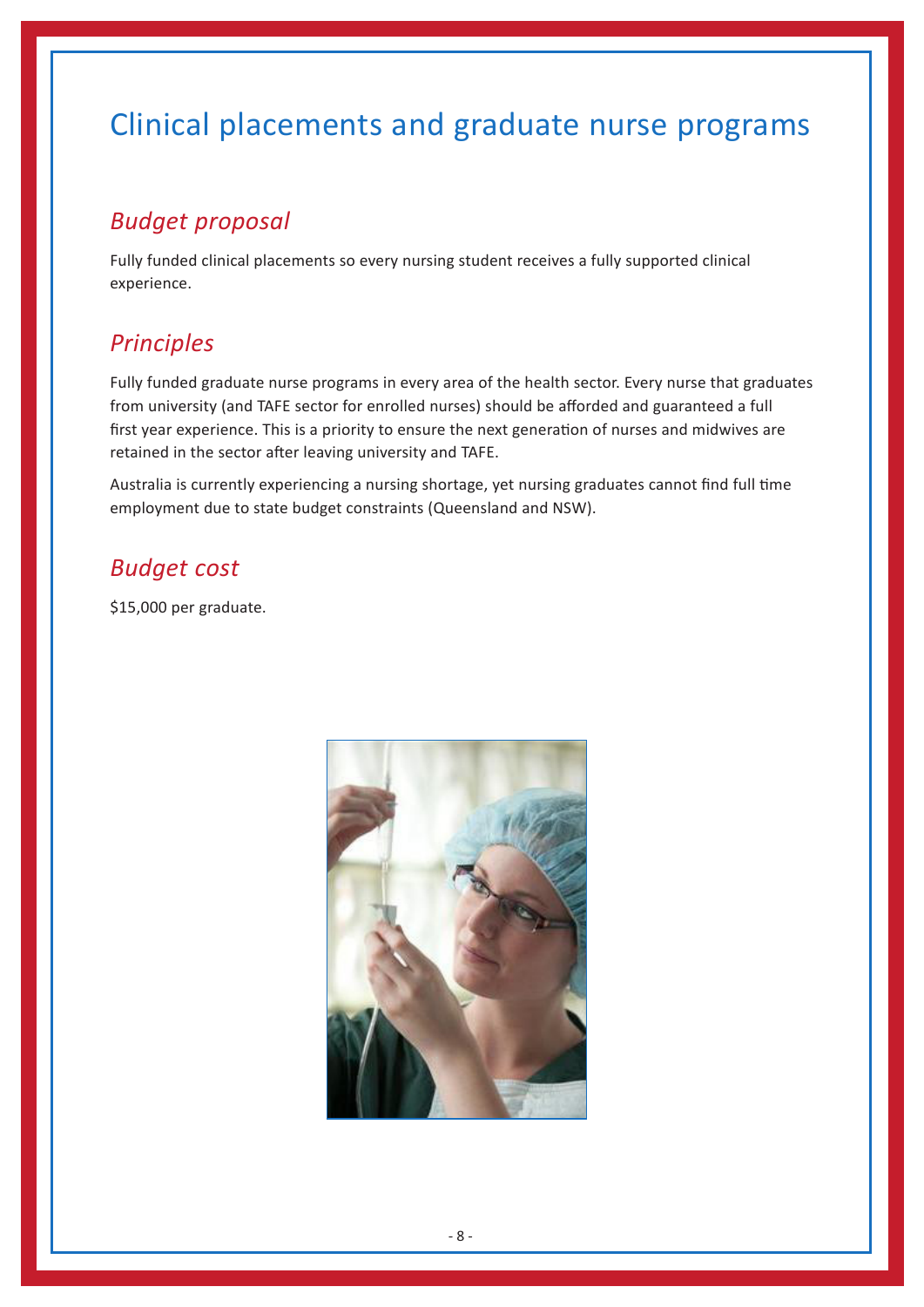# Clinical placements and graduate nurse programs

## *Budget proposal*

Fully funded clinical placements so every nursing student receives a fully supported clinical experience.

## *Principles*

Fully funded graduate nurse programs in every area of the health sector. Every nurse that graduates from university (and TAFE sector for enrolled nurses) should be afforded and guaranteed a full first year experience. This is a priority to ensure the next generation of nurses and midwives are retained in the sector after leaving university and TAFE.

Australia is currently experiencing a nursing shortage, yet nursing graduates cannot find full time employment due to state budget constraints (Queensland and NSW).

## *Budget cost*

\$15,000 per graduate.